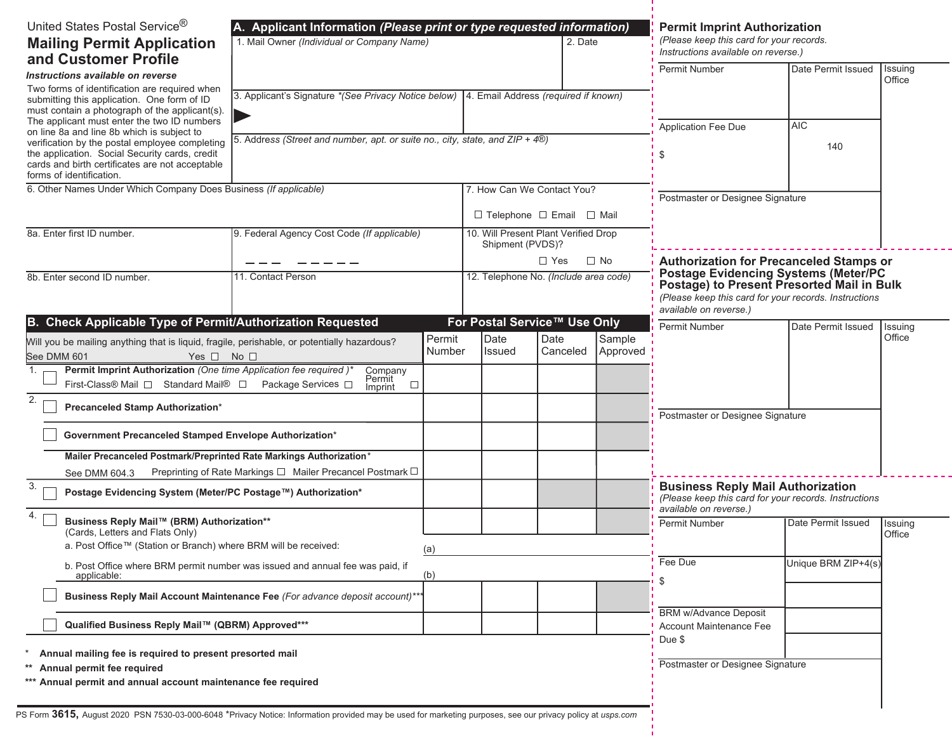| United States Postal Service®<br><b>Mailing Permit Application</b><br>and Customer Profile                                                                                                                                                                                                                             | A. Applicant Information (Please print or type requested information)<br>1. Mail Owner (Individual or Company Name)<br>2. Date |                  |                                                          |                  | <b>Permit Imprint Authorization</b><br>(Please keep this card for your records.<br>Instructions available on reverse.) |                                                                                                                                                                                                                                |                    |                   |
|------------------------------------------------------------------------------------------------------------------------------------------------------------------------------------------------------------------------------------------------------------------------------------------------------------------------|--------------------------------------------------------------------------------------------------------------------------------|------------------|----------------------------------------------------------|------------------|------------------------------------------------------------------------------------------------------------------------|--------------------------------------------------------------------------------------------------------------------------------------------------------------------------------------------------------------------------------|--------------------|-------------------|
| Instructions available on reverse                                                                                                                                                                                                                                                                                      |                                                                                                                                |                  |                                                          |                  |                                                                                                                        | Permit Number                                                                                                                                                                                                                  | Date Permit Issued | Issuing<br>Office |
| Two forms of identification are required when<br>submitting this application. One form of ID<br>must contain a photograph of the applicant(s).<br>The applicant must enter the two ID numbers                                                                                                                          | 3. Applicant's Signature *(See Privacy Notice below)   4. Email Address (required if known)                                    |                  |                                                          |                  |                                                                                                                        |                                                                                                                                                                                                                                |                    |                   |
| on line 8a and line 8b which is subject to<br>verification by the postal employee completing<br>the application. Social Security cards, credit<br>cards and birth certificates are not acceptable<br>forms of identification.                                                                                          | 5. Address (Street and number, apt. or suite no., city, state, and ZIP + 4®)                                                   |                  |                                                          |                  |                                                                                                                        | Application Fee Due                                                                                                                                                                                                            | <b>AIC</b><br>140  |                   |
| 6. Other Names Under Which Company Does Business (If applicable)                                                                                                                                                                                                                                                       |                                                                                                                                |                  | 7. How Can We Contact You?                               |                  |                                                                                                                        | Postmaster or Designee Signature                                                                                                                                                                                               |                    |                   |
|                                                                                                                                                                                                                                                                                                                        |                                                                                                                                |                  | $\Box$ Telephone $\Box$ Email $\Box$ Mail                |                  |                                                                                                                        |                                                                                                                                                                                                                                |                    |                   |
| 8a. Enter first ID number.                                                                                                                                                                                                                                                                                             | 9. Federal Agency Cost Code (If applicable)                                                                                    |                  | 10. Will Present Plant Verified Drop<br>Shipment (PVDS)? |                  |                                                                                                                        |                                                                                                                                                                                                                                |                    |                   |
|                                                                                                                                                                                                                                                                                                                        |                                                                                                                                |                  | $\Box$ Yes<br>$\Box$ No                                  |                  |                                                                                                                        | <b>Authorization for Precanceled Stamps or</b><br><b>Postage Evidencing Systems (Meter/PC</b><br>Postage) to Present Presorted Mail in Bulk<br>(Please keep this card for your records. Instructions<br>available on reverse.) |                    |                   |
| 8b. Enter second ID number.                                                                                                                                                                                                                                                                                            | 12. Telephone No. (Include area code)<br>11. Contact Person                                                                    |                  |                                                          |                  |                                                                                                                        |                                                                                                                                                                                                                                |                    |                   |
| B. Check Applicable Type of Permit/Authorization Requested                                                                                                                                                                                                                                                             |                                                                                                                                |                  | For Postal Service™ Use Only                             |                  |                                                                                                                        | Permit Number                                                                                                                                                                                                                  | Date Permit Issued | Issuing           |
| Will you be mailing anything that is liquid, fragile, perishable, or potentially hazardous?<br>See DMM 601<br>Yes $\square$ No $\square$                                                                                                                                                                               |                                                                                                                                | Permit<br>Number | Date<br>Issued                                           | Date<br>Canceled | Sample<br>Approved                                                                                                     |                                                                                                                                                                                                                                |                    | Office            |
| Permit Imprint Authorization (One time Application fee required)*<br>1.<br>First-Class® Mail □ Standard Mail® □ Package Services □                                                                                                                                                                                     | Company<br>Permit<br>$\Box$<br>Imprint                                                                                         |                  |                                                          |                  |                                                                                                                        |                                                                                                                                                                                                                                |                    |                   |
| 2.<br>Precanceled Stamp Authorization*                                                                                                                                                                                                                                                                                 |                                                                                                                                |                  |                                                          |                  |                                                                                                                        | Postmaster or Designee Signature                                                                                                                                                                                               |                    |                   |
| Government Precanceled Stamped Envelope Authorization*                                                                                                                                                                                                                                                                 |                                                                                                                                |                  |                                                          |                  |                                                                                                                        |                                                                                                                                                                                                                                |                    |                   |
| Mailer Precanceled Postmark/Preprinted Rate Markings Authorization*                                                                                                                                                                                                                                                    |                                                                                                                                |                  |                                                          |                  |                                                                                                                        |                                                                                                                                                                                                                                |                    |                   |
| Preprinting of Rate Markings □ Mailer Precancel Postmark □<br>See DMM 604.3<br>3.<br>Postage Evidencing System (Meter/PC Postage™) Authorization*                                                                                                                                                                      |                                                                                                                                |                  |                                                          |                  |                                                                                                                        | <b>Business Reply Mail Authorization</b><br>(Please keep this card for your records. Instructions<br>available on reverse.)                                                                                                    |                    |                   |
| Business Reply Mail™ (BRM) Authorization**<br>(Cards, Letters and Flats Only)                                                                                                                                                                                                                                          |                                                                                                                                |                  |                                                          |                  |                                                                                                                        | Permit Number                                                                                                                                                                                                                  | Date Permit Issued | Issuing<br>Office |
| a. Post Office™ (Station or Branch) where BRM will be received:<br>(a)<br>b. Post Office where BRM permit number was issued and annual fee was paid, if                                                                                                                                                                |                                                                                                                                |                  |                                                          |                  | Fee Due                                                                                                                | Unique BRM ZIP+4(s)                                                                                                                                                                                                            |                    |                   |
| applicable:<br>(b)<br>Business Reply Mail Account Maintenance Fee (For advance deposit account)***                                                                                                                                                                                                                     |                                                                                                                                |                  |                                                          |                  |                                                                                                                        |                                                                                                                                                                                                                                |                    |                   |
|                                                                                                                                                                                                                                                                                                                        |                                                                                                                                |                  |                                                          |                  |                                                                                                                        | <b>BRM w/Advance Deposit</b>                                                                                                                                                                                                   |                    |                   |
| Qualified Business Reply Mail™ (QBRM) Approved***                                                                                                                                                                                                                                                                      |                                                                                                                                |                  |                                                          |                  |                                                                                                                        | Account Maintenance Fee<br>Due \$                                                                                                                                                                                              |                    |                   |
| Annual mailing fee is required to present presorted mail<br>Annual permit fee required<br>*** Annual permit and annual account maintenance fee required<br>PS Form 3615, August 2020 PSN 7530-03-000-6048 *Privacy Notice: Information provided may be used for marketing purposes, see our privacy policy at usps.com |                                                                                                                                |                  |                                                          |                  |                                                                                                                        | Postmaster or Designee Signature                                                                                                                                                                                               |                    |                   |